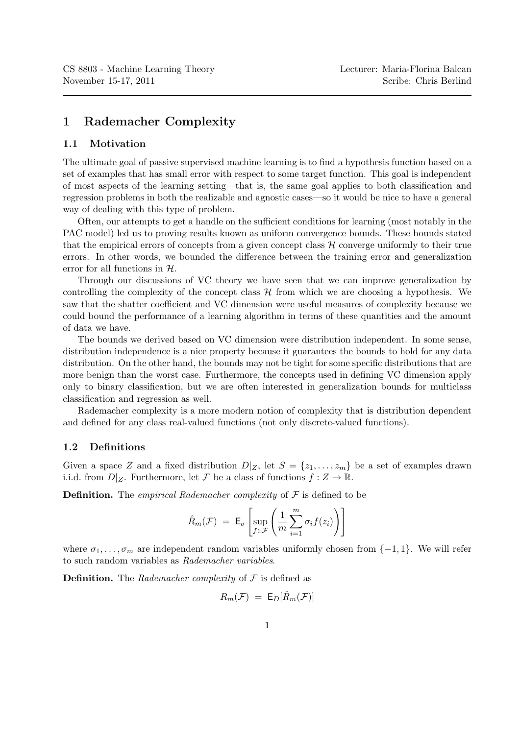## 1 Rademacher Complexity

## 1.1 Motivation

The ultimate goal of passive supervised machine learning is to find a hypothesis function based on a set of examples that has small error with respect to some target function. This goal is independent of most aspects of the learning setting—that is, the same goal applies to both classification and regression problems in both the realizable and agnostic cases—so it would be nice to have a general way of dealing with this type of problem.

Often, our attempts to get a handle on the sufficient conditions for learning (most notably in the PAC model) led us to proving results known as uniform convergence bounds. These bounds stated that the empirical errors of concepts from a given concept class  $H$  converge uniformly to their true errors. In other words, we bounded the difference between the training error and generalization error for all functions in  $H$ .

Through our discussions of VC theory we have seen that we can improve generalization by controlling the complexity of the concept class  $H$  from which we are choosing a hypothesis. We saw that the shatter coefficient and VC dimension were useful measures of complexity because we could bound the performance of a learning algorithm in terms of these quantities and the amount of data we have.

The bounds we derived based on VC dimension were distribution independent. In some sense, distribution independence is a nice property because it guarantees the bounds to hold for any data distribution. On the other hand, the bounds may not be tight for some specific distributions that are more benign than the worst case. Furthermore, the concepts used in defining VC dimension apply only to binary classification, but we are often interested in generalization bounds for multiclass classification and regression as well.

Rademacher complexity is a more modern notion of complexity that is distribution dependent and defined for any class real-valued functions (not only discrete-valued functions).

## 1.2 Definitions

Given a space Z and a fixed distribution  $D|_Z$ , let  $S = \{z_1, \ldots, z_m\}$  be a set of examples drawn i.i.d. from  $D|_Z$ . Furthermore, let F be a class of functions  $f: Z \to \mathbb{R}$ .

**Definition.** The *empirical Rademacher complexity* of  $\mathcal F$  is defined to be

$$
\hat{R}_m(\mathcal{F}) = \mathsf{E}_{\sigma} \left[ \sup_{f \in \mathcal{F}} \left( \frac{1}{m} \sum_{i=1}^m \sigma_i f(z_i) \right) \right]
$$

where  $\sigma_1, \ldots, \sigma_m$  are independent random variables uniformly chosen from  $\{-1, 1\}$ . We will refer to such random variables as Rademacher variables.

**Definition.** The Rademacher complexity of  $\mathcal F$  is defined as

$$
R_m(\mathcal{F}) = \mathsf{E}_{D}[\hat{R}_m(\mathcal{F})]
$$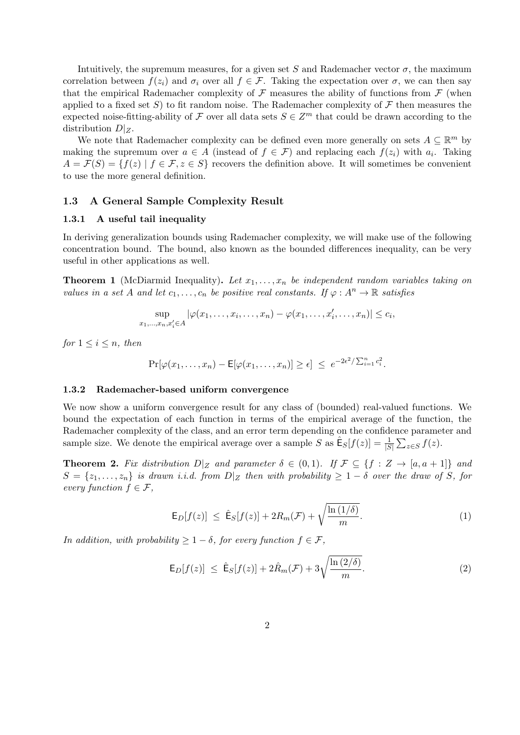Intuitively, the supremum measures, for a given set S and Rademacher vector  $\sigma$ , the maximum correlation between  $f(z_i)$  and  $\sigma_i$  over all  $f \in \mathcal{F}$ . Taking the expectation over  $\sigma$ , we can then say that the empirical Rademacher complexity of  $\mathcal F$  measures the ability of functions from  $\mathcal F$  (when applied to a fixed set S) to fit random noise. The Rademacher complexity of  $\mathcal F$  then measures the expected noise-fitting-ability of F over all data sets  $S \in \mathbb{Z}^m$  that could be drawn according to the distribution  $D|_Z$ .

We note that Rademacher complexity can be defined even more generally on sets  $A \subseteq \mathbb{R}^m$  by making the supremum over  $a \in A$  (instead of  $f \in \mathcal{F}$ ) and replacing each  $f(z_i)$  with  $a_i$ . Taking  $A = \mathcal{F}(S) = \{f(z) | f \in \mathcal{F}, z \in S\}$  recovers the definition above. It will sometimes be convenient to use the more general definition.

#### 1.3 A General Sample Complexity Result

#### 1.3.1 A useful tail inequality

In deriving generalization bounds using Rademacher complexity, we will make use of the following concentration bound. The bound, also known as the bounded differences inequality, can be very useful in other applications as well.

**Theorem 1** (McDiarmid Inequality). Let  $x_1, \ldots, x_n$  be independent random variables taking on values in a set A and let  $c_1, \ldots, c_n$  be positive real constants. If  $\varphi : A^n \to \mathbb{R}$  satisfies

$$
\sup_{x_1,\ldots,x_n,x'_i\in A} |\varphi(x_1,\ldots,x_i,\ldots,x_n)-\varphi(x_1,\ldots,x'_i,\ldots,x_n)|\leq c_i,
$$

for  $1 \leq i \leq n$ , then

$$
\Pr[\varphi(x_1,\ldots,x_n)-\mathsf{E}[\varphi(x_1,\ldots,x_n)] \geq \epsilon] \leq e^{-2\epsilon^2/\sum_{i=1}^n c_i^2}.
$$

#### 1.3.2 Rademacher-based uniform convergence

We now show a uniform convergence result for any class of (bounded) real-valued functions. We bound the expectation of each function in terms of the empirical average of the function, the Rademacher complexity of the class, and an error term depending on the confidence parameter and sample size. We denote the empirical average over a sample S as  $\hat{\mathsf{E}}_S[f(z)] = \frac{1}{|S|} \sum_{z \in S} f(z)$ .

**Theorem 2.** Fix distribution  $D|Z$  and parameter  $\delta \in (0,1)$ . If  $\mathcal{F} \subseteq \{f : Z \to [a,a+1]\}$  and  $S = \{z_1, \ldots, z_n\}$  is drawn i.i.d. from  $D|_Z$  then with probability  $\geq 1-\delta$  over the draw of S, for every function  $f \in \mathcal{F}$ ,

$$
\mathsf{E}_{D}[f(z)] \leq \hat{\mathsf{E}}_{S}[f(z)] + 2R_m(\mathcal{F}) + \sqrt{\frac{\ln\left(1/\delta\right)}{m}}.\tag{1}
$$

In addition, with probability  $\geq 1-\delta$ , for every function  $f \in \mathcal{F}$ ,

$$
\mathsf{E}_{D}[f(z)] \leq \hat{\mathsf{E}}_{S}[f(z)] + 2\hat{R}_{m}(\mathcal{F}) + 3\sqrt{\frac{\ln(2/\delta)}{m}}.\tag{2}
$$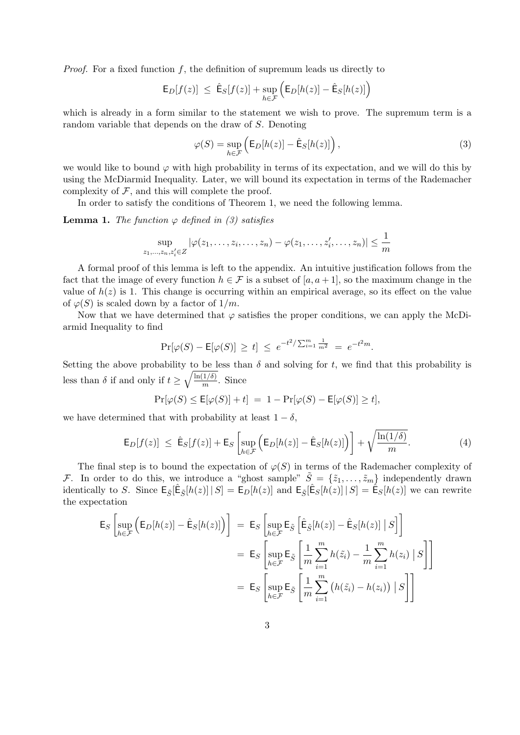*Proof.* For a fixed function  $f$ , the definition of supremum leads us directly to

$$
\mathsf{E}_{D}[f(z)] \ \leq \ \hat{\mathsf{E}}_{S}[f(z)] + \sup_{h \in \mathcal{F}} \Big( \mathsf{E}_{D}[h(z)] - \hat{\mathsf{E}}_{S}[h(z)] \Big)
$$

which is already in a form similar to the statement we wish to prove. The supremum term is a random variable that depends on the draw of S. Denoting

$$
\varphi(S) = \sup_{h \in \mathcal{F}} \left( \mathsf{E}_D[h(z)] - \hat{\mathsf{E}}_S[h(z)] \right),\tag{3}
$$

we would like to bound  $\varphi$  with high probability in terms of its expectation, and we will do this by using the McDiarmid Inequality. Later, we will bound its expectation in terms of the Rademacher complexity of  $F$ , and this will complete the proof.

In order to satisfy the conditions of Theorem 1, we need the following lemma.

**Lemma 1.** The function  $\varphi$  defined in (3) satisfies

$$
\sup_{z_1,\ldots,z_n,z'_i\in Z} |\varphi(z_1,\ldots,z_i,\ldots,z_n)-\varphi(z_1,\ldots,z'_i,\ldots,z_n)| \leq \frac{1}{m}
$$

A formal proof of this lemma is left to the appendix. An intuitive justification follows from the fact that the image of every function  $h \in \mathcal{F}$  is a subset of  $[a, a + 1]$ , so the maximum change in the value of  $h(z)$  is 1. This change is occurring within an empirical average, so its effect on the value of  $\varphi(S)$  is scaled down by a factor of  $1/m$ .

Now that we have determined that  $\varphi$  satisfies the proper conditions, we can apply the McDiarmid Inequality to find

$$
\Pr[\varphi(S) - \mathsf{E}[\varphi(S)] \ge t] \le e^{-t^2/\sum_{i=1}^m \frac{1}{m^2}} = e^{-t^2 m}.
$$

Setting the above probability to be less than  $\delta$  and solving for t, we find that this probability is less than  $\delta$  if and only if  $t \geq \sqrt{\frac{\ln(1/\delta)}{m}}$  $\frac{1}{m}$ . Since

$$
\Pr[\varphi(S) \le \mathsf{E}[\varphi(S)] + t] = 1 - \Pr[\varphi(S) - \mathsf{E}[\varphi(S)] \ge t],
$$

we have determined that with probability at least  $1 - \delta$ ,

$$
\mathsf{E}_D[f(z)] \leq \hat{\mathsf{E}}_S[f(z)] + \mathsf{E}_S \left[ \sup_{h \in \mathcal{F}} \left( \mathsf{E}_D[h(z)] - \hat{\mathsf{E}}_S[h(z)] \right) \right] + \sqrt{\frac{\ln(1/\delta)}{m}}.
$$
 (4)

The final step is to bound the expectation of  $\varphi(S)$  in terms of the Rademacher complexity of F. In order to do this, we introduce a "ghost sample"  $\tilde{S} = \{\tilde{z}_1, \ldots, \tilde{z}_m\}$  independently drawn identically to S. Since  $\mathsf{E}_{\tilde{S}}[\hat{\mathsf{E}}_{\tilde{S}}[h(z)] | S] = \mathsf{E}_{D}[h(z)]$  and  $\mathsf{E}_{\tilde{S}}[\hat{\mathsf{E}}_{S}[h(z)] | S] = \hat{\mathsf{E}}_{S}[h(z)]$  we can rewrite the expectation

$$
\mathsf{E}_{S}\left[\sup_{h\in\mathcal{F}}\left(\mathsf{E}_{D}[h(z)]-\hat{\mathsf{E}}_{S}[h(z)]\right)\right] = \mathsf{E}_{S}\left[\sup_{h\in\mathcal{F}}\mathsf{E}_{\tilde{S}}\left[\hat{\mathsf{E}}_{\tilde{S}}[h(z)]-\hat{\mathsf{E}}_{S}[h(z)]\mid S\right]\right]
$$

$$
= \mathsf{E}_{S}\left[\sup_{h\in\mathcal{F}}\mathsf{E}_{\tilde{S}}\left[\frac{1}{m}\sum_{i=1}^{m}h(\tilde{z}_{i})-\frac{1}{m}\sum_{i=1}^{m}h(z_{i})\mid S\right]\right]
$$

$$
= \mathsf{E}_{S}\left[\sup_{h\in\mathcal{F}}\mathsf{E}_{\tilde{S}}\left[\frac{1}{m}\sum_{i=1}^{m}\left(h(\tilde{z}_{i})-h(z_{i})\right)\mid S\right]\right]
$$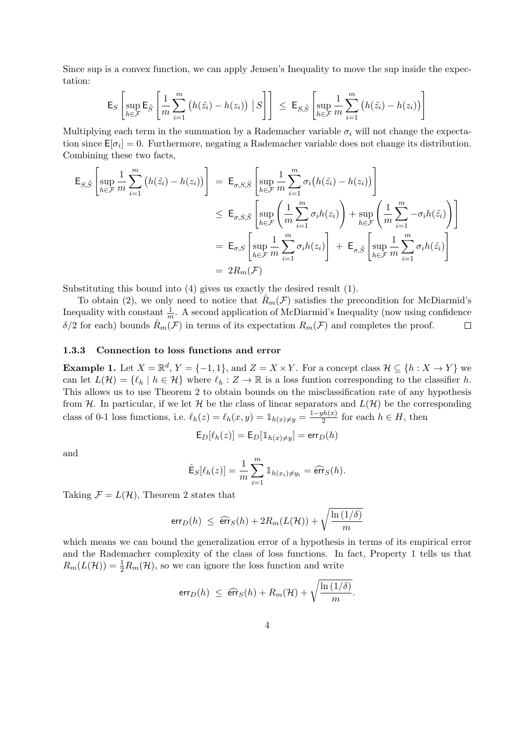Since sup is a convex function, we can apply Jensen's Inequality to move the sup inside the expectation:

$$
\mathsf{E}_{S}\left[\sup_{h\in\mathcal{F}}\mathsf{E}_{\tilde{S}}\left[\frac{1}{m}\sum_{i=1}^{m}\left(h(\tilde{z}_{i})-h(z_{i})\right)\big|S\right]\right] \leq \mathsf{E}_{S,\tilde{S}}\left[\sup_{h\in\mathcal{F}}\frac{1}{m}\sum_{i=1}^{m}\left(h(\tilde{z}_{i})-h(z_{i})\right)\right]
$$

Multiplying each term in the summation by a Rademacher variable  $\sigma_i$  will not change the expectation since  $\mathsf{E}[\sigma_i] = 0$ . Furthermore, negating a Rademacher variable does not change its distribution. Combining these two facts,

$$
\mathsf{E}_{S,\tilde{S}}\left[\sup_{h\in\mathcal{F}}\frac{1}{m}\sum_{i=1}^{m}\left(h(\tilde{z}_{i})-h(z_{i})\right)\right] = \mathsf{E}_{\sigma,S,\tilde{S}}\left[\sup_{h\in\mathcal{F}}\frac{1}{m}\sum_{i=1}^{m}\sigma_{i}\left(h(\tilde{z}_{i})-h(z_{i})\right)\right]
$$
\n
$$
\leq \mathsf{E}_{\sigma,S,\tilde{S}}\left[\sup_{h\in\mathcal{F}}\left(\frac{1}{m}\sum_{i=1}^{m}\sigma_{i}h(z_{i})\right)+\sup_{h\in\mathcal{F}}\left(\frac{1}{m}\sum_{i=1}^{m}-\sigma_{i}h(\tilde{z}_{i})\right)\right]
$$
\n
$$
= \mathsf{E}_{\sigma,S}\left[\sup_{h\in\mathcal{F}}\frac{1}{m}\sum_{i=1}^{m}\sigma_{i}h(z_{i})\right] + \mathsf{E}_{\sigma,\tilde{S}}\left[\sup_{h\in\mathcal{F}}\frac{1}{m}\sum_{i=1}^{m}\sigma_{i}h(\tilde{z}_{i})\right]
$$
\n
$$
= 2R_{m}(\mathcal{F})
$$

Substituting this bound into (4) gives us exactly the desired result (1).

To obtain (2), we only need to notice that  $\hat{R}_m(\mathcal{F})$  satisfies the precondition for McDiarmid's Inequality with constant  $\frac{1}{m}$ . A second application of McDiarmid's Inequality (now using confidence  $\delta/2$  for each) bounds  $R_m(\mathcal{F})$  in terms of its expectation  $R_m(\mathcal{F})$  and completes the proof.  $\Box$ 

#### 1.3.3 Connection to loss functions and error

**Example 1.** Let  $X = \mathbb{R}^d$ ,  $Y = \{-1, 1\}$ , and  $Z = X \times Y$ . For a concept class  $\mathcal{H} \subseteq \{h : X \to Y\}$  we can let  $L(\mathcal{H}) = \{\ell_h | h \in \mathcal{H}\}\$  where  $\ell_h : Z \to \mathbb{R}$  is a loss funtion corresponding to the classifier h. This allows us to use Theorem 2 to obtain bounds on the misclassification rate of any hypothesis from H. In particular, if we let H be the class of linear separators and  $L(\mathcal{H})$  be the corresponding class of 0-1 loss functions, i.e.  $\ell_h(z) = \ell_h(x, y) = \mathbb{1}_{h(x) \neq y} = \frac{1-yh(x)}{2}$  $\frac{f(n(x))}{2}$  for each  $h \in H$ , then

$$
\mathsf{E}_D[\ell_h(z)] = \mathsf{E}_D[\mathbbm{1}_{h(x) \neq y}] = \textsf{err}_D(h)
$$

and

$$
\hat{\mathsf{E}}_S[\ell_h(z)] = \frac{1}{m} \sum_{i=1}^m \mathbb{1}_{h(x_i) \neq y_i} = \widehat{\text{err}}_S(h).
$$

Taking  $\mathcal{F} = L(\mathcal{H})$ , Theorem 2 states that

$$
\text{err}_D(h) \ \leq \ \widehat{\text{err}}_S(h) + 2R_m(L(\mathcal{H})) + \sqrt{\frac{\ln{(1/\delta)}}{m}}
$$

which means we can bound the generalization error of a hypothesis in terms of its empirical error and the Rademacher complexity of the class of loss functions. In fact, Property 1 tells us that  $R_m(L(\mathcal{H})) = \frac{1}{2}R_m(\mathcal{H})$ , so we can ignore the loss function and write

$$
\text{err}_D(h) \ \leq \ \widehat{\text{err}}_S(h) + R_m(\mathcal{H}) + \sqrt{\frac{\ln{(1/\delta)}}{m}}.
$$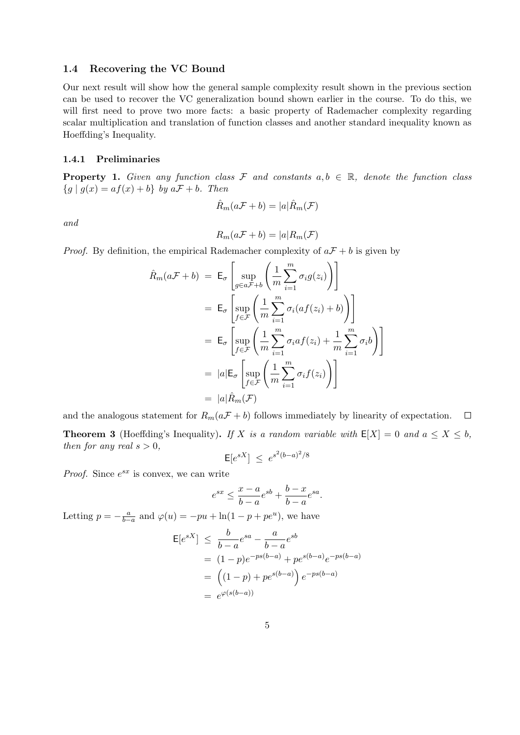#### 1.4 Recovering the VC Bound

Our next result will show how the general sample complexity result shown in the previous section can be used to recover the VC generalization bound shown earlier in the course. To do this, we will first need to prove two more facts: a basic property of Rademacher complexity regarding scalar multiplication and translation of function classes and another standard inequality known as Hoeffding's Inequality.

## 1.4.1 Preliminaries

**Property 1.** Given any function class F and constants  $a, b \in \mathbb{R}$ , denote the function class  ${g | g(x) = af(x) + b} by aF + b$ . Then

$$
\hat{R}_m(a\mathcal{F} + b) = |a|\hat{R}_m(\mathcal{F})
$$

and

$$
R_m(a\mathcal{F} + b) = |a|R_m(\mathcal{F})
$$

*Proof.* By definition, the empirical Rademacher complexity of  $aF + b$  is given by

$$
\hat{R}_{m}(a\mathcal{F}+b) = \mathsf{E}_{\sigma}\left[\sup_{g\in a\mathcal{F}+b}\left(\frac{1}{m}\sum_{i=1}^{m}\sigma_{i}g(z_{i})\right)\right]
$$
\n
$$
= \mathsf{E}_{\sigma}\left[\sup_{f\in\mathcal{F}}\left(\frac{1}{m}\sum_{i=1}^{m}\sigma_{i}(af(z_{i})+b)\right)\right]
$$
\n
$$
= \mathsf{E}_{\sigma}\left[\sup_{f\in\mathcal{F}}\left(\frac{1}{m}\sum_{i=1}^{m}\sigma_{i}af(z_{i})+\frac{1}{m}\sum_{i=1}^{m}\sigma_{i}b\right)\right]
$$
\n
$$
= |a|\mathsf{E}_{\sigma}\left[\sup_{f\in\mathcal{F}}\left(\frac{1}{m}\sum_{i=1}^{m}\sigma_{i}f(z_{i})\right)\right]
$$
\n
$$
= |a|\hat{R}_{m}(\mathcal{F})
$$

and the analogous statement for  $R_m(a\mathcal{F} + b)$  follows immediately by linearity of expectation.  $\Box$ **Theorem 3** (Hoeffding's Inequality). If X is a random variable with  $E[X] = 0$  and  $a \le X \le b$ , then for any real  $s > 0$ ,

$$
\mathsf{E}[e^{sX}] \leq e^{s^2(b-a)^2/8}
$$

*Proof.* Since  $e^{sx}$  is convex, we can write

$$
e^{sx}\leq \frac{x-a}{b-a}e^{sb}+\frac{b-x}{b-a}e^{sa}.
$$

Letting  $p = -\frac{a}{b-a}$  and  $\varphi(u) = -pu + \ln(1 - p + pe^u)$ , we have

$$
\mathsf{E}[e^{sX}] \leq \frac{b}{b-a} e^{sa} - \frac{a}{b-a} e^{sb}
$$
  
=  $(1-p)e^{-ps(b-a)} + pe^{s(b-a)}e^{-ps(b-a)}$   
=  $((1-p) + pe^{s(b-a)}) e^{-ps(b-a)}$   
=  $e^{\varphi(s(b-a))}$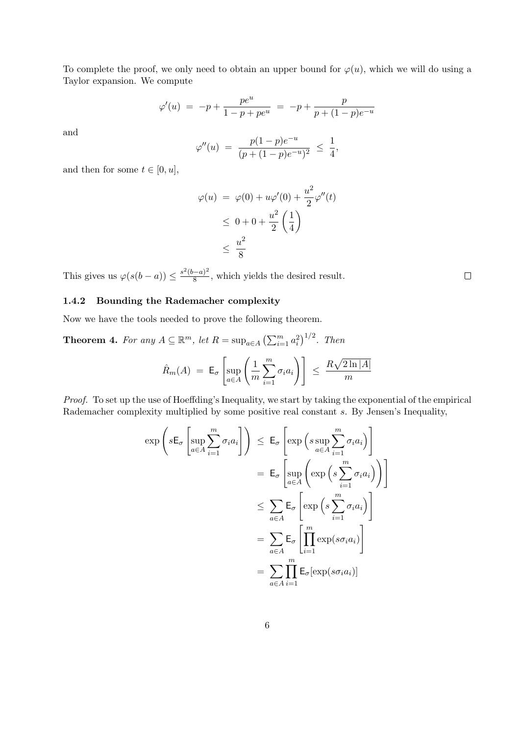To complete the proof, we only need to obtain an upper bound for  $\varphi(u)$ , which we will do using a Taylor expansion. We compute

$$
\varphi'(u) = -p + \frac{pe^u}{1 - p + pe^u} = -p + \frac{p}{p + (1 - p)e^{-u}}
$$

and

$$
\varphi''(u) = \frac{p(1-p)e^{-u}}{(p+(1-p)e^{-u})^2} \le \frac{1}{4},
$$

and then for some  $t \in [0, u]$ ,

$$
\varphi(u) = \varphi(0) + u\varphi'(0) + \frac{u^2}{2}\varphi''(t)
$$
  

$$
\leq 0 + 0 + \frac{u^2}{2}\left(\frac{1}{4}\right)
$$
  

$$
\leq \frac{u^2}{8}
$$

This gives us  $\varphi(s(b-a)) \leq \frac{s^2(b-a)^2}{8}$  $\frac{3}{8}$ , which yields the desired result.

## 1.4.2 Bounding the Rademacher complexity

Now we have the tools needed to prove the following theorem.

**Theorem 4.** For any 
$$
A \subseteq \mathbb{R}^m
$$
, let  $R = \sup_{a \in A} (\sum_{i=1}^m a_i^2)^{1/2}$ . Then  

$$
\hat{R}_m(A) = \mathsf{E}_{\sigma} \left[ \sup_{a \in A} \left( \frac{1}{m} \sum_{i=1}^m \sigma_i a_i \right) \right] \leq \frac{R\sqrt{2\ln|A|}}{m}
$$

Proof. To set up the use of Hoeffding's Inequality, we start by taking the exponential of the empirical Rademacher complexity multiplied by some positive real constant s. By Jensen's Inequality,

 $i=1$ 

$$
\exp\left(s\mathsf{E}_{\sigma}\left[\sup_{a\in A}\sum_{i=1}^{m}\sigma_{i}a_{i}\right]\right) \leq \mathsf{E}_{\sigma}\left[\exp\left(s\sup_{a\in A}\sum_{i=1}^{m}\sigma_{i}a_{i}\right)\right]
$$

$$
= \mathsf{E}_{\sigma}\left[\sup_{a\in A}\left(\exp\left(s\sum_{i=1}^{m}\sigma_{i}a_{i}\right)\right)\right]
$$

$$
\leq \sum_{a\in A}\mathsf{E}_{\sigma}\left[\exp\left(s\sum_{i=1}^{m}\sigma_{i}a_{i}\right)\right]
$$

$$
= \sum_{a\in A}\mathsf{E}_{\sigma}\left[\prod_{i=1}^{m}\exp(s\sigma_{i}a_{i})\right]
$$

$$
= \sum_{a\in A}\prod_{i=1}^{m}\mathsf{E}_{\sigma}[\exp(s\sigma_{i}a_{i})]
$$

 $\Box$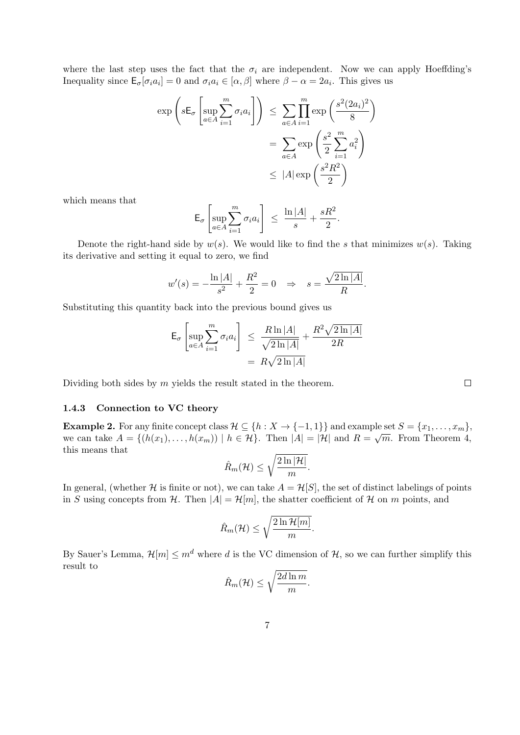where the last step uses the fact that the  $\sigma_i$  are independent. Now we can apply Hoeffding's Inequality since  $\mathsf{E}_{\sigma}[\sigma_i a_i] = 0$  and  $\sigma_i a_i \in [\alpha, \beta]$  where  $\beta - \alpha = 2a_i$ . This gives us

$$
\exp\left(s\mathsf{E}_{\sigma}\left[\sup_{a\in A}\sum_{i=1}^{m}\sigma_{i}a_{i}\right]\right) \leq \sum_{a\in A}\prod_{i=1}^{m}\exp\left(\frac{s^{2}(2a_{i})^{2}}{8}\right)
$$

$$
= \sum_{a\in A}\exp\left(\frac{s^{2}}{2}\sum_{i=1}^{m}a_{i}^{2}\right)
$$

$$
\leq |A|\exp\left(\frac{s^{2}R^{2}}{2}\right)
$$

which means that

$$
\mathsf{E}_{\sigma}\left[\sup_{a\in A}\sum_{i=1}^m \sigma_i a_i\right] \leq \frac{\ln |A|}{s} + \frac{sR^2}{2}.
$$

Denote the right-hand side by  $w(s)$ . We would like to find the s that minimizes  $w(s)$ . Taking its derivative and setting it equal to zero, we find

$$
w'(s) = -\frac{\ln |A|}{s^2} + \frac{R^2}{2} = 0 \Rightarrow s = \frac{\sqrt{2 \ln |A|}}{R}.
$$

Substituting this quantity back into the previous bound gives us

$$
\mathsf{E}_{\sigma} \left[ \sup_{a \in A} \sum_{i=1}^{m} \sigma_i a_i \right] \leq \frac{R \ln |A|}{\sqrt{2 \ln |A|}} + \frac{R^2 \sqrt{2 \ln |A|}}{2R}
$$

$$
= R \sqrt{2 \ln |A|}
$$

Dividing both sides by  $m$  yields the result stated in the theorem.

#### 1.4.3 Connection to VC theory

Example 2. For any finite concept class  $\mathcal{H} \subseteq \{h : X \to \{-1,1\}\}\$  and example set  $S = \{x_1, \ldots, x_m\}$ , we can take  $A = \{(h(x_1), \ldots, h(x_m)) \mid h \in \mathcal{H}\}\$ . Then  $|A| = |\mathcal{H}|$  and  $R = \sqrt{m}$ . From Theorem 4, this means that

$$
\hat{R}_m(\mathcal{H}) \leq \sqrt{\frac{2\ln|\mathcal{H}|}{m}}.
$$

In general, (whether H is finite or not), we can take  $A = H[S]$ , the set of distinct labelings of points in S using concepts from H. Then  $|A| = \mathcal{H}[m]$ , the shatter coefficient of H on m points, and

$$
\hat{R}_m(\mathcal{H}) \leq \sqrt{\frac{2\ln\mathcal{H}[m]}{m}}.
$$

By Sauer's Lemma,  $\mathcal{H}[m] \leq m^d$  where d is the VC dimension of  $\mathcal{H}$ , so we can further simplify this result to

$$
\hat{R}_m(\mathcal{H}) \le \sqrt{\frac{2d\ln m}{m}}.
$$

 $\Box$